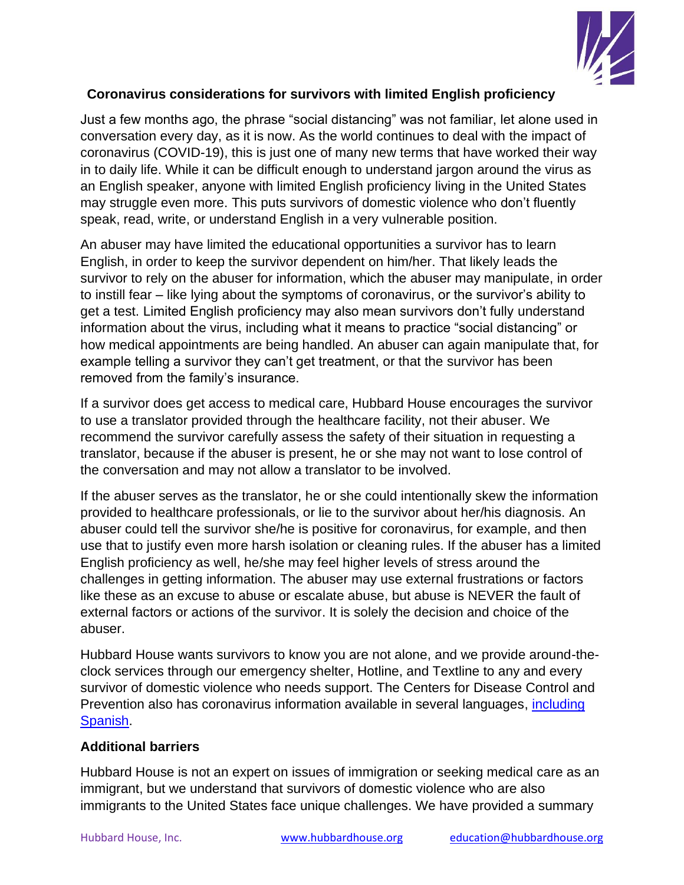

## **Coronavirus considerations for survivors with limited English proficiency**

Just a few months ago, the phrase "social distancing" was not familiar, let alone used in conversation every day, as it is now. As the world continues to deal with the impact of coronavirus (COVID-19), this is just one of many new terms that have worked their way in to daily life. While it can be difficult enough to understand jargon around the virus as an English speaker, anyone with limited English proficiency living in the United States may struggle even more. This puts survivors of domestic violence who don't fluently speak, read, write, or understand English in a very vulnerable position.

An abuser may have limited the educational opportunities a survivor has to learn English, in order to keep the survivor dependent on him/her. That likely leads the survivor to rely on the abuser for information, which the abuser may manipulate, in order to instill fear – like lying about the symptoms of coronavirus, or the survivor's ability to get a test. Limited English proficiency may also mean survivors don't fully understand information about the virus, including what it means to practice "social distancing" or how medical appointments are being handled. An abuser can again manipulate that, for example telling a survivor they can't get treatment, or that the survivor has been removed from the family's insurance.

If a survivor does get access to medical care, Hubbard House encourages the survivor to use a translator provided through the healthcare facility, not their abuser. We recommend the survivor carefully assess the safety of their situation in requesting a translator, because if the abuser is present, he or she may not want to lose control of the conversation and may not allow a translator to be involved.

If the abuser serves as the translator, he or she could intentionally skew the information provided to healthcare professionals, or lie to the survivor about her/his diagnosis. An abuser could tell the survivor she/he is positive for coronavirus, for example, and then use that to justify even more harsh isolation or cleaning rules. If the abuser has a limited English proficiency as well, he/she may feel higher levels of stress around the challenges in getting information. The abuser may use external frustrations or factors like these as an excuse to abuse or escalate abuse, but abuse is NEVER the fault of external factors or actions of the survivor. It is solely the decision and choice of the abuser.

Hubbard House wants survivors to know you are not alone, and we provide around-theclock services through our emergency shelter, Hotline, and Textline to any and every survivor of domestic violence who needs support. The Centers for Disease Control and Prevention also has coronavirus information available in several languages, [including](https://espanol.cdc.gov/coronavirus/2019-ncov/index.html)  [Spanish.](https://espanol.cdc.gov/coronavirus/2019-ncov/index.html)

## **Additional barriers**

Hubbard House is not an expert on issues of immigration or seeking medical care as an immigrant, but we understand that survivors of domestic violence who are also immigrants to the United States face unique challenges. We have provided a summary